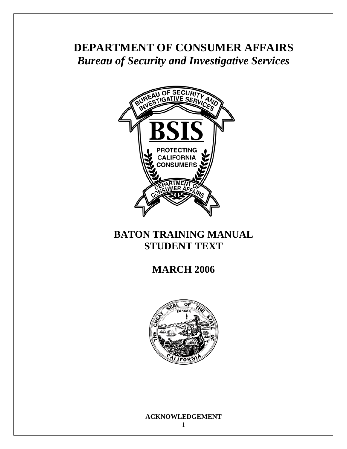# **DEPARTMENT OF CONSUMER AFFAIRS**  *Bureau of Security and Investigative Services*



## **BATON TRAINING MANUAL STUDENT TEXT**

### **MARCH 2006**



### **ACKNOWLEDGEMENT**

1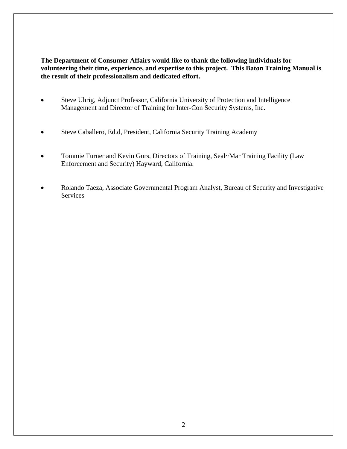<span id="page-1-0"></span>**The Department of Consumer Affairs would like to thank the following individuals for volunteering their time, experience, and expertise to this project. This Baton Training Manual is the result of their professionalism and dedicated effort.** 

- Steve Uhrig, Adjunct Professor, California University of Protection and Intelligence Management and Director of Training for Inter-Con Security Systems, Inc.
- Steve Caballero, Ed.d, President, California Security Training Academy
- Tommie Turner and Kevin Gors, Directors of Training, Seal~Mar Training Facility (Law Enforcement and Security) Hayward, California.
- Rolando Taeza, Associate Governmental Program Analyst, Bureau of Security and Investigative Services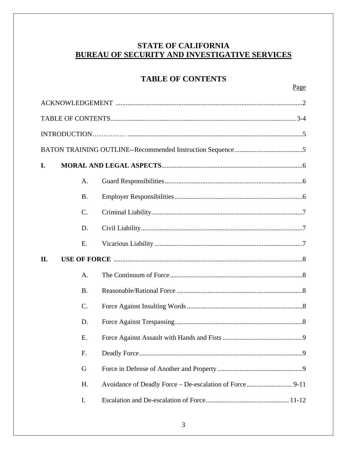### **STATE OF CALIFORNIA BUREAU OF SECURITY AND INVESTIGATIVE SERVICES**

### **TABLE OF CONTENTS**

| I.  |                 |  |  |  |
|-----|-----------------|--|--|--|
|     | A.              |  |  |  |
|     | <b>B.</b>       |  |  |  |
|     | $\mathcal{C}$ . |  |  |  |
|     | D.              |  |  |  |
|     | E.              |  |  |  |
| II. |                 |  |  |  |
|     |                 |  |  |  |
|     | A.              |  |  |  |
|     | <b>B.</b>       |  |  |  |
|     | $\mathcal{C}$ . |  |  |  |
|     | D.              |  |  |  |
|     | E.              |  |  |  |
|     | F.              |  |  |  |
|     | G               |  |  |  |
|     | H.              |  |  |  |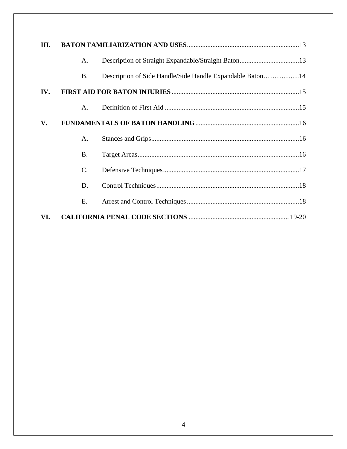| III. |                |                                                           |
|------|----------------|-----------------------------------------------------------|
|      | $\mathsf{A}$ . |                                                           |
|      | <b>B.</b>      | Description of Side Handle/Side Handle Expandable Baton14 |
| IV.  |                |                                                           |
|      | $A_{\cdot}$    |                                                           |
| V.   |                |                                                           |
|      | A.             |                                                           |
|      | $\mathbf{B}$ . |                                                           |
|      | $\mathbf{C}$ . |                                                           |
|      | D.             |                                                           |
|      | Е.             |                                                           |
| VI.  |                |                                                           |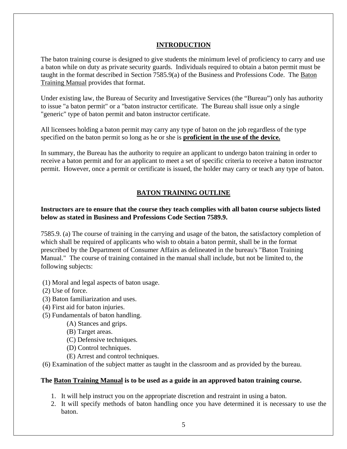### **INTRODUCTION**

<span id="page-4-0"></span>The baton training course is designed to give students the minimum level of proficiency to carry and use a baton while on duty as private security guards. Individuals required to obtain a baton permit must be taught in the format described in Section 7585.9(a) of the Business and Professions Code. The Baton Training Manual provides that format.

Under existing law, the Bureau of Security and Investigative Services (the "Bureau") only has authority to issue "a baton permit" or a "baton instructor certificate. The Bureau shall issue only a single "generic" type of baton permit and baton instructor certificate.

All licensees holding a baton permit may carry any type of baton on the job regardless of the type specified on the baton permit so long as he or she is **proficient in the use of the device.** 

In summary, the Bureau has the authority to require an applicant to undergo baton training in order to receive a baton permit and for an applicant to meet a set of specific criteria to receive a baton instructor permit. However, once a permit or certificate is issued, the holder may carry or teach any type of baton.

### **BATON TRAINING OUTLINE**

### **Instructors are to ensure that the course they teach complies with all baton course subjects listed below as stated in Business and Professions Code Section 7589.9.**

7585.9. (a) The course of training in the carrying and usage of the baton, the satisfactory completion of which shall be required of applicants who wish to obtain a baton permit, shall be in the format prescribed by the Department of Consumer Affairs as delineated in the bureau's "Baton Training Manual." The course of training contained in the manual shall include, but not be limited to, the following subjects:

- (1) Moral and legal aspects of baton usage.
- (2) Use of force.
- (3) Baton familiarization and uses.
- (4) First aid for baton injuries.
- (5) Fundamentals of baton handling.
	- (A) Stances and grips.
	- (B) Target areas.
	- (C) Defensive techniques.
	- (D) Control techniques.
	- (E) Arrest and control techniques.
- (6) Examination of the subject matter as taught in the classroom and as provided by the bureau.

### **The Baton Training Manual is to be used as a guide in an approved baton training course.**

- 1. It will help instruct you on the appropriate discretion and restraint in using a baton.
- 2. It will specify methods of baton handling once you have determined it is necessary to use the baton.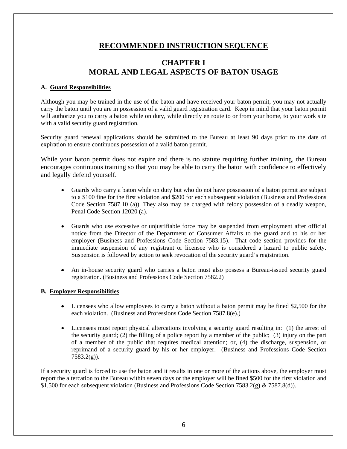### **RECOMMENDED INSTRUCTION SEQUENCE**

### **CHAPTER I MORAL AND LEGAL ASPECTS OF BATON USAGE**

### <span id="page-5-0"></span>**A. Guard Responsibilities**

Although you may be trained in the use of the baton and have received your baton permit, you may not actually carry the baton until you are in possession of a valid guard registration card. Keep in mind that your baton permit will authorize you to carry a baton while on duty, while directly en route to or from your home, to your work site with a valid security guard registration.

Security guard renewal applications should be submitted to the Bureau at least 90 days prior to the date of expiration to ensure continuous possession of a valid baton permit.

While your baton permit does not expire and there is no statute requiring further training, the Bureau encourages continuous training so that you may be able to carry the baton with confidence to effectively and legally defend yourself.

- Guards who carry a baton while on duty but who do not have possession of a baton permit are subject to a \$100 fine for the first violation and \$200 for each subsequent violation (Business and Professions Code Section 7587.10 (a)). They also may be charged with felony possession of a deadly weapon, Penal Code Section 12020 (a).
- Guards who use excessive or unjustifiable force may be suspended from employment after official notice from the Director of the Department of Consumer Affairs to the guard and to his or her employer (Business and Professions Code Section 7583.15). That code section provides for the immediate suspension of any registrant or licensee who is considered a hazard to public safety. Suspension is followed by action to seek revocation of the security guard's registration.
- An in-house security guard who carries a baton must also possess a Bureau-issued security guard registration. (Business and Professions Code Section 7582.2)

### **B. Employer Responsibilities**

- Licensees who allow employees to carry a baton without a baton permit may be fined \$2,500 for the each violation. (Business and Professions Code Section 7587.8(e).)
- Licensees must report physical altercations involving a security guard resulting in: (1) the arrest of the security guard; (2) the filling of a police report by a member of the public; (3) injury on the part of a member of the public that requires medical attention; or, (4) the discharge, suspension, or reprimand of a security guard by his or her employer. (Business and Professions Code Section  $7583.2(g)$ ).

If a security guard is forced to use the baton and it results in one or more of the actions above, the employer must report the altercation to the Bureau within seven days or the employer will be fined \$500 for the first violation and \$1,500 for each subsequent violation (Business and Professions Code Section 7583.2(g) & 7587.8(d)).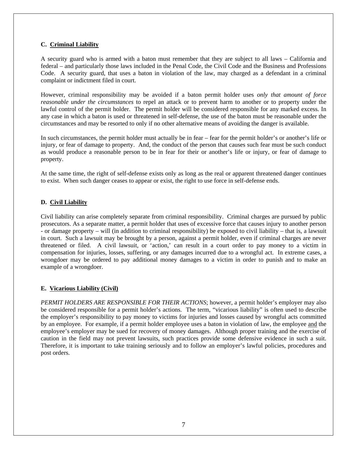### <span id="page-6-0"></span>**C. Criminal Liability**

A security guard who is armed with a baton must remember that they are subject to all laws – California and federal – and particularly those laws included in the Penal Code, the Civil Code and the Business and Professions Code. A security guard, that uses a baton in violation of the law, may charged as a defendant in a criminal complaint or indictment filed in court.

 *reasonable under the circumstances* to repel an attack or to prevent harm to another or to property under the However, criminal responsibility may be avoided if a baton permit holder uses *only that amount of force*  lawful control of the permit holder. The permit holder will be considered responsible for any marked excess. In any case in which a baton is used or threatened in self-defense, the use of the baton must be reasonable under the circumstances and may be resorted to only if no other alternative means of avoiding the danger is available.

In such circumstances, the permit holder must actually be in fear – fear for the permit holder's or another's life or injury, or fear of damage to property. And, the conduct of the person that causes such fear must be such conduct as would produce a reasonable person to be in fear for their or another's life or injury, or fear of damage to property.

At the same time, the right of self-defense exists only as long as the real or apparent threatened danger continues to exist. When such danger ceases to appear or exist, the right to use force in self-defense ends.

### **D. Civil Liability**

Civil liability can arise completely separate from criminal responsibility. Criminal charges are pursued by public prosecutors. As a separate matter, a permit holder that uses of excessive force that causes injury to another person - or damage property – will (in addition to criminal responsibility) be exposed to civil liability – that is, a lawsuit in court. Such a lawsuit may be brought by a person, against a permit holder, even if criminal charges are never threatened or filed. A civil lawsuit, or 'action,' can result in a court order to pay money to a victim in compensation for injuries, losses, suffering, or any damages incurred due to a wrongful act. In extreme cases, a wrongdoer may be ordered to pay additional money damages to a victim in order to punish and to make an example of a wrongdoer.

### **E. Vicarious Liability (Civil)**

 employee's employer may be sued for recovery of money damages. Although proper training and the exercise of *PERMIT HOLDERS ARE RESPONSIBLE FOR THEIR ACTIONS*; however, a permit holder's employer may also be considered responsible for a permit holder's actions. The term, "vicarious liability" is often used to describe the employer's responsibility to pay money to victims for injuries and losses caused by wrongful acts committed by an employee. For example, if a permit holder employee uses a baton in violation of law, the employee and the caution in the field may not prevent lawsuits, such practices provide some defensive evidence in such a suit. Therefore, it is important to take training seriously and to follow an employer's lawful policies, procedures and post orders.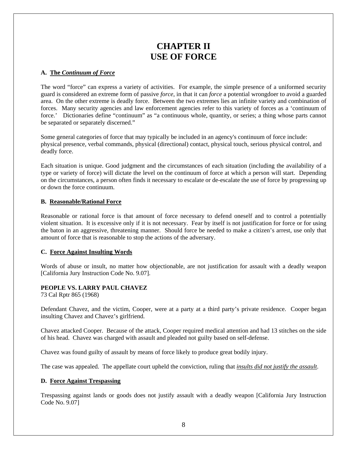### **CHAPTER II USE OF FORCE**

### <span id="page-7-0"></span>**A. The** *Continuum of Force*

The word "force" can express a variety of activities. For example, the simple presence of a uniformed security guard is considered an extreme form of passive *force*, in that it can *force* a potential wrongdoer to avoid a guarded area. On the other extreme is deadly force. Between the two extremes lies an infinite variety and combination of forces. Many security agencies and law enforcement agencies refer to this variety of forces as a 'continuum of force.' Dictionaries define "continuum" as "a continuous whole, quantity, or series; a thing whose parts cannot be separated or separately discerned."

Some general categories of force that may typically be included in an agency's continuum of force include: physical presence, verbal commands, physical (directional) contact, physical touch, serious physical control, and deadly force.

Each situation is unique. Good judgment and the circumstances of each situation (including the availability of a type or variety of force) will dictate the level on the continuum of force at which a person will start. Depending on the circumstances, a person often finds it necessary to escalate or de-escalate the use of force by progressing up or down the force continuum.

### **B. Reasonable/Rational Force**

Reasonable or rational force is that amount of force necessary to defend oneself and to control a potentially violent situation. It is excessive only if it is not necessary. Fear by itself is not justification for force or for using the baton in an aggressive, threatening manner. Should force be needed to make a citizen's arrest, use only that amount of force that is reasonable to stop the actions of the adversary.

### **C. Force Against Insulting Words**

 Words of abuse or insult, no matter how objectionable, are not justification for assault with a deadly weapon [California Jury Instruction Code No. 9.07].

### **PEOPLE VS. LARRY PAUL CHAVEZ**

73 Cal Rptr 865 (1968)

Defendant Chavez, and the victim, Cooper, were at a party at a third party's private residence. Cooper began insulting Chavez and Chavez's girlfriend.

Chavez attacked Cooper. Because of the attack, Cooper required medical attention and had 13 stitches on the side of his head. Chavez was charged with assault and pleaded not guilty based on self-defense.

Chavez was found guilty of assault by means of force likely to produce great bodily injury.

The case was appealed. The appellate court upheld the conviction, ruling that *insults did not justify the assault*.

### **D. Force Against Trespassing**

Trespassing against lands or goods does not justify assault with a deadly weapon [California Jury Instruction Code No. 9.07]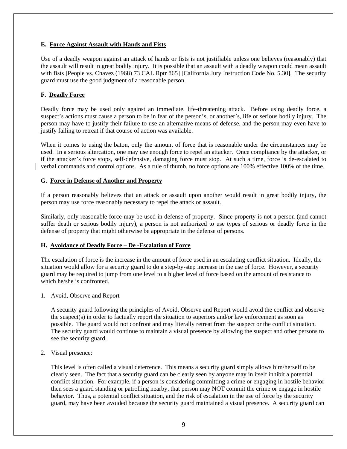### <span id="page-8-0"></span> **E. Force Against Assault with Hands and Fists**

Use of a deadly weapon against an attack of hands or fists is not justifiable unless one believes (reasonably) that the assault will result in great bodily injury. It is possible that an assault with a deadly weapon could mean assault with fists [People vs. Chavez (1968) 73 CAL Rptr 865] [California Jury Instruction Code No. 5.30]. The security guard must use the good judgment of a reasonable person.

### **F. Deadly Force**

Deadly force may be used only against an immediate, life-threatening attack. Before using deadly force, a suspect's actions must cause a person to be in fear of the person's, or another's, life or serious bodily injury. The person may have to justify their failure to use an alternative means of defense, and the person may even have to justify failing to retreat if that course of action was available.

When it comes to using the baton, only the amount of force that is reasonable under the circumstances may be used. In a serious altercation, one may use enough force to repel an attacker. Once compliance by the attacker, or if the attacker's force stops, self-defensive, damaging force must stop. At such a time, force is de-escalated to verbal commands and control options. As a rule of thumb, no force options are 100% effective 100% of the time.

### **G. Force in Defense of Another and Property**

If a person reasonably believes that an attack or assault upon another would result in great bodily injury, the person may use force reasonably necessary to repel the attack or assault.

Similarly, only reasonable force may be used in defense of property. Since property is not a person (and cannot suffer death or serious bodily injury), a person is not authorized to use types of serious or deadly force in the defense of property that might otherwise be appropriate in the defense of persons.

### **H. Avoidance of Deadly Force – De -Escalation of Force**

The escalation of force is the increase in the amount of force used in an escalating conflict situation. Ideally, the situation would allow for a security guard to do a step-by-step increase in the use of force. However, a security guard may be required to jump from one level to a higher level of force based on the amount of resistance to which he/she is confronted.

1. Avoid, Observe and Report

A security guard following the principles of Avoid, Observe and Report would avoid the conflict and observe the suspect(s) in order to factually report the situation to superiors and/or law enforcement as soon as possible. The guard would not confront and may literally retreat from the suspect or the conflict situation. The security guard would continue to maintain a visual presence by allowing the suspect and other persons to see the security guard.

### 2. Visual presence:

This level is often called a visual deterrence. This means a security guard simply allows him/herself to be clearly seen. The fact that a security guard can be clearly seen by anyone may in itself inhibit a potential conflict situation. For example, if a person is considering committing a crime or engaging in hostile behavior then sees a guard standing or patrolling nearby, that person may NOT commit the crime or engage in hostile behavior. Thus, a potential conflict situation, and the risk of escalation in the use of force by the security guard, may have been avoided because the security guard maintained a visual presence. A security guard can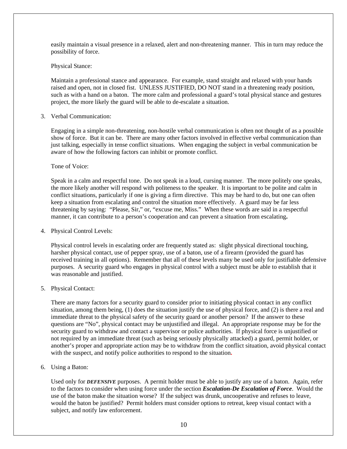easily maintain a visual presence in a relaxed, alert and non-threatening manner. This in turn may reduce the possibility of force.

#### Physical Stance:

Maintain a professional stance and appearance. For example, stand straight and relaxed with your hands raised and open, not in closed fist. UNLESS JUSTIFIED, DO NOT stand in a threatening ready position, such as with a hand on a baton. The more calm and professional a guard's total physical stance and gestures project, the more likely the guard will be able to de-escalate a situation.

### 3. Verbal Communication:

Engaging in a simple non-threatening, non-hostile verbal communication is often not thought of as a possible show of force. But it can be. There are many other factors involved in effective verbal communication than just talking, especially in tense conflict situations. When engaging the subject in verbal communication be aware of how the following factors can inhibit or promote conflict.

Tone of Voice:

Speak in a calm and respectful tone. Do not speak in a loud, cursing manner. The more politely one speaks, the more likely another will respond with politeness to the speaker. It is important to be polite and calm in conflict situations, particularly if one is giving a firm directive. This may be hard to do, but one can often keep a situation from escalating and control the situation more effectively. A guard may be far less threatening by saying: "Please, Sir," or, "excuse me, Miss." When these words are said in a respectful manner, it can contribute to a person's cooperation and can prevent a situation from escalating**.** 

### 4. Physical Control Levels:

Physical control levels in escalating order are frequently stated as: slight physical directional touching, harsher physical contact, use of pepper spray, use of a baton, use of a firearm (provided the guard has received training in all options). Remember that all of these levels many be used only for justifiable defensive purposes. A security guard who engages in physical control with a subject must be able to establish that it was reasonable and justified.

### 5. Physical Contact:

There are many factors for a security guard to consider prior to initiating physical contact in any conflict situation, among them being, (1) does the situation justify the use of physical force, and (2) is there a real and immediate threat to the physical safety of the security guard or another person? If the answer to these questions are "No", physical contact may be unjustified and illegal. An appropriate response may be for the security guard to withdraw and contact a supervisor or police authorities. If physical force is unjustified or not required by an immediate threat (such as being seriously physically attacked) a guard, permit holder, or another's proper and appropriate action may be to withdraw from the conflict situation, avoid physical contact with the suspect, and notify police authorities to respond to the situation**.** 

### 6. Using a Baton:

Used only for *DEFENSIVE* purposes. A permit holder must be able to justify any use of a baton. Again, refer to the factors to consider when using force under the section *Escalation-De Escalation of Force*. Would the use of the baton make the situation worse? If the subject was drunk, uncooperative and refuses to leave, would the baton be justified? Permit holders must consider options to retreat, keep visual contact with a subject, and notify law enforcement.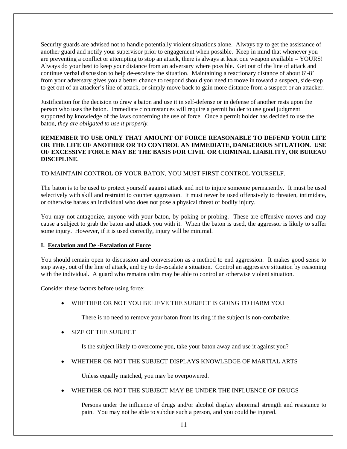Security guards are advised not to handle potentially violent situations alone. Always try to get the assistance of another guard and notify your supervisor prior to engagement when possible. Keep in mind that whenever you are preventing a conflict or attempting to stop an attack, there is always at least one weapon available – YOURS! Always do your best to keep your distance from an adversary where possible. Get out of the line of attack and continue verbal discussion to help de-escalate the situation. Maintaining a reactionary distance of about 6'-8' from your adversary gives you a better chance to respond should you need to move in toward a suspect, side-step to get out of an attacker's line of attack, or simply move back to gain more distance from a suspect or an attacker.

Justification for the decision to draw a baton and use it in self-defense or in defense of another rests upon the person who uses the baton. Immediate circumstances will require a permit holder to use good judgment supported by knowledge of the laws concerning the use of force. Once a permit holder has decided to use the baton, *they are obligated to use it properly.* 

### **REMEMBER TO USE ONLY THAT AMOUNT OF FORCE REASONABLE TO DEFEND YOUR LIFE OR THE LIFE OF ANOTHER OR TO CONTROL AN IMMEDIATE, DANGEROUS SITUATION. USE OF EXCESSIVE FORCE MAY BE THE BASIS FOR CIVIL OR CRIMINAL LIABILITY, OR BUREAU DISCIPLINE**.

### TO MAINTAIN CONTROL OF YOUR BATON, YOU MUST FIRST CONTROL YOURSELF.

The baton is to be used to protect yourself against attack and not to injure someone permanently. It must be used selectively with skill and restraint to counter aggression. It must never be used offensively to threaten, intimidate, or otherwise harass an individual who does not pose a physical threat of bodily injury.

You may not antagonize, anyone with your baton, by poking or probing. These are offensive moves and may cause a subject to grab the baton and attack you with it. When the baton is used, the aggressor is likely to suffer some injury. However, if it is used correctly, injury will be minimal.

### **I. Escalation and De -Escalation of Force**

 with the individual. A guard who remains calm may be able to control an otherwise violent situation. You should remain open to discussion and conversation as a method to end aggression. It makes good sense to step away, out of the line of attack, and try to de-escalate a situation. Control an aggressive situation by reasoning

Consider these factors before using force:

• WHETHER OR NOT YOU BELIEVE THE SUBJECT IS GOING TO HARM YOU

There is no need to remove your baton from its ring if the subject is non-combative.

• SIZE OF THE SUBJECT

Is the subject likely to overcome you, take your baton away and use it against you?

• WHETHER OR NOT THE SUBJECT DISPLAYS KNOWLEDGE OF MARTIAL ARTS

Unless equally matched, you may be overpowered.

• WHETHER OR NOT THE SUBJECT MAY BE UNDER THE INFLUENCE OF DRUGS

Persons under the influence of drugs and/or alcohol display abnormal strength and resistance to pain. You may not be able to subdue such a person, and you could be injured.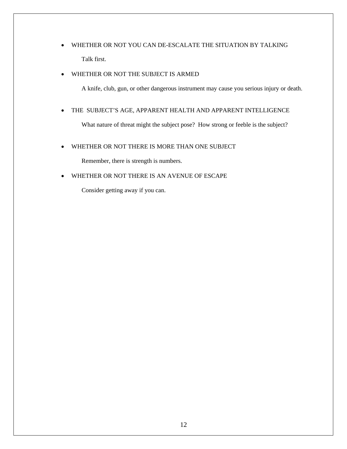• WHETHER OR NOT YOU CAN DE-ESCALATE THE SITUATION BY TALKING Talk first.

### • WHETHER OR NOT THE SUBJECT IS ARMED

A knife, club, gun, or other dangerous instrument may cause you serious injury or death.

### • THE SUBJECT'S AGE, APPARENT HEALTH AND APPARENT INTELLIGENCE

What nature of threat might the subject pose? How strong or feeble is the subject?

### • WHETHER OR NOT THERE IS MORE THAN ONE SUBJECT

Remember, there is strength is numbers.

### • WHETHER OR NOT THERE IS AN AVENUE OF ESCAPE

Consider getting away if you can.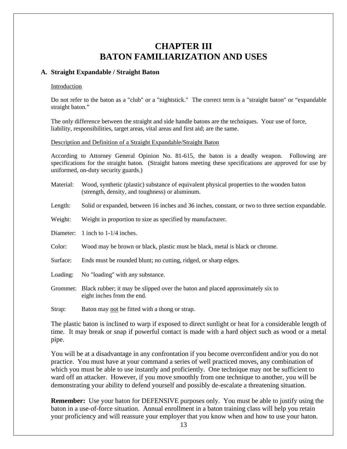### **CHAPTER III BATON FAMILIARIZATION AND USES**

### **A. Straight Expandable / Straight Baton**

### Introduction

Do not refer to the baton as a "club" or a "nightstick." The correct term is a "straight baton" or "expandable straight baton."

 liability, responsibilities, target areas, vital areas and first aid; are the same. Description and Definition of a Straight Expandable/Straight Baton The only difference between the straight and side handle batons are the techniques. Your use of force,

According to Attorney General Opinion No. 81-615, the baton is a deadly weapon. Following are specifications for the straight baton. (Straight batons meeting these specifications are approved for use by uniformed, on-duty security guards.)

- Material: Wood, synthetic (plastic) substance of equivalent physical properties to the wooden baton (strength, density, and toughness) or aluminum.
- Length: Solid or expanded, between 16 inches and 36 inches, constant, or two to three section expandable.
- Weight: Weight in proportion to size as specified by manufacturer.
- Diameter: 1 inch to 1-1/4 inches.
- Color: Wood may be brown or black, plastic must be black, metal is black or chrome.
- Surface: Ends must be rounded blunt; no cutting, ridged, or sharp edges.
- Loading: No "loading" with any substance.
- Grommet: Black rubber; it may be slipped over the baton and placed approximately six to eight inches from the end.

Strap: Baton may not be fitted with a thong or strap.

The plastic baton is inclined to warp if exposed to direct sunlight or heat for a considerable length of time. It may break or snap if powerful contact is made with a hard object such as wood or a metal pipe.

You will be at a disadvantage in any confrontation if you become overconfident and/or you do not practice. You must have at your command a series of well practiced moves, any combination of which you must be able to use instantly and proficiently. One technique may not be sufficient to ward off an attacker. However, if you move smoothly from one technique to another, you will be demonstrating your ability to defend yourself and possibly de-escalate a threatening situation.

**Remember:** Use your baton for DEFENSIVE purposes only. You must be able to justify using the baton in a use-of-force situation. Annual enrollment in a baton training class will help you retain your proficiency and will reassure your employer that you know when and how to use your baton.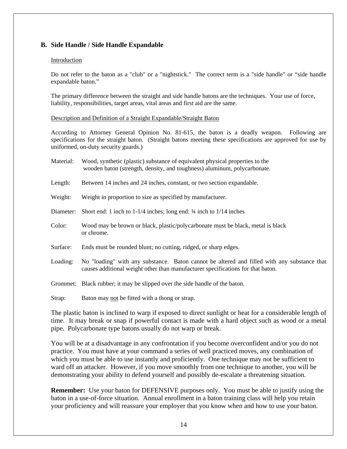### **B. Side Handle / Side Handle Expandable**

### Introduction

Do not refer to the baton as a "club" or a "nightstick." The correct term is a "side handle" or "side handle expandable baton."

liability, responsibilities, target areas, vital areas and first aid are the same. The primary difference between the straight and side handle batons are the techniques. Your use of force,

Description and Definition of a Straight Expandable/Straight Baton

According to Attorney General Opinion No. 81-615, the baton is a deadly weapon. Following are specifications for the straight baton. (Straight batons meeting these specifications are approved for use by uniformed, on-duty security guards.)

| Material: | Wood, synthetic (plastic) substance of equivalent physical properties to the<br>wooden baton (strength, density, and toughness) aluminum, polycarbonate.                       |
|-----------|--------------------------------------------------------------------------------------------------------------------------------------------------------------------------------|
| Length:   | Between 14 inches and 24 inches, constant, or two section expandable.                                                                                                          |
| Weight:   | Weight in proportion to size as specified by manufacturer.                                                                                                                     |
| Diameter: | Short end: 1 inch to $1-1/4$ inches; long end: $\frac{3}{4}$ inch to $1/14$ inches                                                                                             |
| Color:    | Wood may be brown or black, plastic/polycarbonate must be black, metal is black<br>or chrome.                                                                                  |
| Surface:  | Ends must be rounded blunt; no cutting, ridged, or sharp edges.                                                                                                                |
| Loading:  | No "loading" with any substance. Baton cannot be altered and filled with any substance that<br>causes additional weight other than manufacturer specifications for that baton. |
|           | Grommet: Black rubber; it may be slipped over the side handle of the baton.                                                                                                    |
| Strap:    | Baton may not be fitted with a thong or strap.                                                                                                                                 |

The plastic baton is inclined to warp if exposed to direct sunlight or heat for a considerable length of time. It may break or snap if powerful contact is made with a hard object such as wood or a metal pipe. Polycarbonate type batons usually do not warp or break.

You will be at a disadvantage in any confrontation if you become overconfident and/or you do not practice. You must have at your command a series of well practiced moves, any combination of which you must be able to use instantly and proficiently. One technique may not be sufficient to ward off an attacker. However, if you move smoothly from one technique to another, you will be demonstrating your ability to defend yourself and possibly de-escalate a threatening situation.

**Remember:** Use your baton for DEFENSIVE purposes only. You must be able to justify using the baton in a use-of-force situation. Annual enrollment in a baton training class will help you retain your proficiency and will reassure your employer that you know when and how to use your baton.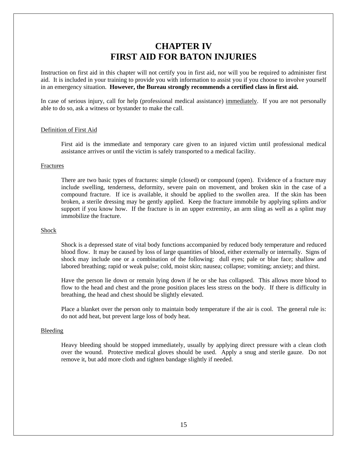### **CHAPTER IV FIRST AID FOR BATON INJURIES**

<span id="page-14-0"></span>Instruction on first aid in this chapter will not certify you in first aid, nor will you be required to administer first aid. It is included in your training to provide you with information to assist you if you choose to involve yourself in an emergency situation. **However, the Bureau strongly recommends a certified class in first aid.** 

In case of serious injury, call for help (professional medical assistance) immediately. If you are not personally able to do so, ask a witness or bystander to make the call.

### Definition of First Aid

First aid is the immediate and temporary care given to an injured victim until professional medical assistance arrives or until the victim is safely transported to a medical facility.

#### Fractures

There are two basic types of fractures: simple (closed) or compound (open). Evidence of a fracture may include swelling, tenderness, deformity, severe pain on movement, and broken skin in the case of a compound fracture. If ice is available, it should be applied to the swollen area. If the skin has been broken, a sterile dressing may be gently applied. Keep the fracture immobile by applying splints and/or support if you know how. If the fracture is in an upper extremity, an arm sling as well as a splint may immobilize the fracture.

#### Shock

Shock is a depressed state of vital body functions accompanied by reduced body temperature and reduced blood flow. It may be caused by loss of large quantities of blood, either externally or internally. Signs of shock may include one or a combination of the following: dull eyes; pale or blue face; shallow and labored breathing; rapid or weak pulse; cold, moist skin; nausea; collapse; vomiting; anxiety; and thirst.

Have the person lie down or remain lying down if he or she has collapsed. This allows more blood to flow to the head and chest and the prone position places less stress on the body. If there is difficulty in breathing, the head and chest should be slightly elevated.

Place a blanket over the person only to maintain body temperature if the air is cool. The general rule is: do not add heat, but prevent large loss of body heat.

#### Bleeding

Heavy bleeding should be stopped immediately, usually by applying direct pressure with a clean cloth over the wound. Protective medical gloves should be used. Apply a snug and sterile gauze. Do not remove it, but add more cloth and tighten bandage slightly if needed.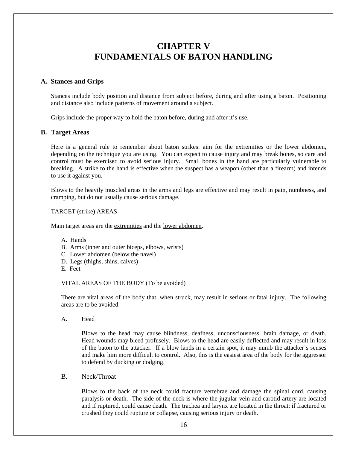### **CHAPTER V FUNDAMENTALS OF BATON HANDLING**

### <span id="page-15-0"></span>**A. Stances and Grips**

Stances include body position and distance from subject before, during and after using a baton. Positioning and distance also include patterns of movement around a subject.

Grips include the proper way to hold the baton before, during and after it's use.

### **B. Target Areas**

Here is a general rule to remember about baton strikes: aim for the extremities or the lower abdomen, depending on the technique you are using. You can expect to cause injury and may break bones, so care and control must be exercised to avoid serious injury. Small bones in the hand are particularly vulnerable to breaking. A strike to the hand is effective when the suspect has a weapon (other than a firearm) and intends to use it against you.

Blows to the heavily muscled areas in the arms and legs are effective and may result in pain, numbness, and cramping, but do not usually cause serious damage.

### TARGET (strike) AREAS

Main target areas are the extremities and the lower abdomen.

- A. Hands
- B. Arms (inner and outer biceps, elbows, wrists)
- C. Lower abdomen (below the navel)
- D. Legs (thighs, shins, calves)
- E. Feet

#### VITAL AREAS OF THE BODY (To be avoided)

There are vital areas of the body that, when struck, may result in serious or fatal injury. The following areas are to be avoided.

A. Head

Blows to the head may cause blindness, deafness, unconsciousness, brain damage, or death. Head wounds may bleed profusely. Blows to the head are easily deflected and may result in loss of the baton to the attacker. If a blow lands in a certain spot, it may numb the attacker's senses and make him more difficult to control. Also, this is the easiest area of the body for the aggressor to defend by ducking or dodging.

B. Neck/Throat

Blows to the back of the neck could fracture vertebrae and damage the spinal cord, causing paralysis or death. The side of the neck is where the jugular vein and carotid artery are located and if ruptured, could cause death. The trachea and larynx are located in the throat; if fractured or crushed they could rupture or collapse, causing serious injury or death.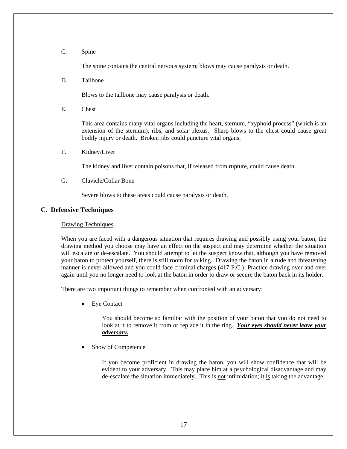### <span id="page-16-0"></span>C. Spine

The spine contains the central nervous system; blows may cause paralysis or death.

D. Tailbone

Blows to the tailbone may cause paralysis or death.

E. Chest

This area contains many vital organs including the heart, sternum, "xyphoid process" (which is an extension of the sternum), ribs, and solar plexus. Sharp blows to the chest could cause great bodily injury or death. Broken ribs could puncture vital organs.

F. Kidney/Liver

The kidney and liver contain poisons that, if released from rupture, could cause death.

G. Clavicle/Collar Bone

Severe blows to these areas could cause paralysis or death.

### **C. Defensive Techniques**

#### Drawing Techniques

When you are faced with a dangerous situation that requires drawing and possibly using your baton, the drawing method you choose may have an effect on the suspect and may determine whether the situation will escalate or de-escalate. You should attempt to let the suspect know that, although you have removed your baton to protect yourself, there is still room for talking. Drawing the baton in a rude and threatening manner is never allowed and you could face criminal charges (417 P.C.) Practice drawing over and over again until you no longer need to look at the baton in order to draw or secure the baton back in its holder.

There are two important things to remember when confronted with an adversary:

**Eye Contact** 

You should become so familiar with the position of your baton that you do not need to look at it to remove it from or replace it in the ring. *Your eyes should never leave your adversary.* 

Show of Competence

If you become proficient in drawing the baton, you will show confidence that will be evident to your adversary. This may place him at a psychological disadvantage and may de-escalate the situation immediately. This is not intimidation; it is taking the advantage.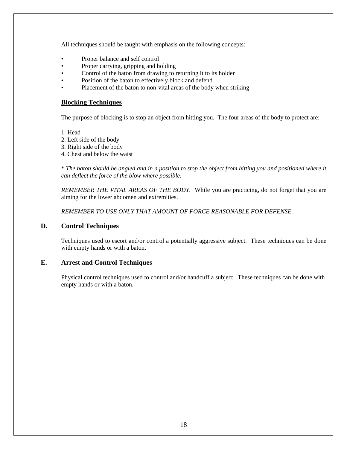<span id="page-17-0"></span>All techniques should be taught with emphasis on the following concepts:

- Proper balance and self control
- Proper carrying, gripping and holding
- Control of the baton from drawing to returning it to its holder
- Position of the baton to effectively block and defend
- Placement of the baton to non-vital areas of the body when striking

### **Blocking Techniques**

The purpose of blocking is to stop an object from hitting you. The four areas of the body to protect are:

1. Head

- 2. Left side of the body
- 3. Right side of the body
- 4. Chest and below the waist

\* *The baton should be angled and in a position to stop the object from hitting you and positioned where it can deflect the force of the blow where possible.* 

 *REMEMBER THE VITAL AREAS OF THE BODY.* While you are practicing, do not forget that you are aiming for the lower abdomen and extremities.

*REMEMBER TO USE ONLY THAT AMOUNT OF FORCE REASONABLE FOR DEFENSE.* 

### **D. Control Techniques**

Techniques used to escort and/or control a potentially aggressive subject. These techniques can be done with empty hands or with a baton.

### **E. Arrest and Control Techniques**

Physical control techniques used to control and/or handcuff a subject. These techniques can be done with empty hands or with a baton.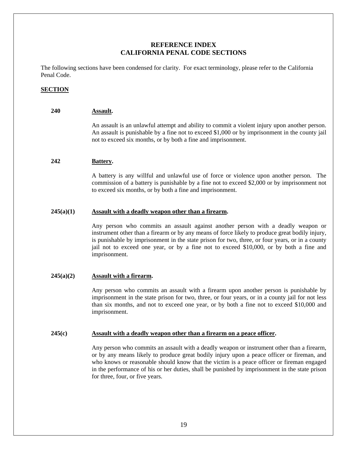### **REFERENCE INDEX CALIFORNIA PENAL CODE SECTIONS**

The following sections have been condensed for clarity. For exact terminology, please refer to the California Penal Code.

### **SECTION**

### **240 Assault.**

An assault is an unlawful attempt and ability to commit a violent injury upon another person. An assault is punishable by a fine not to exceed \$1,000 or by imprisonment in the county jail not to exceed six months, or by both a fine and imprisonment.

### **242 Battery.**

A battery is any willful and unlawful use of force or violence upon another person. The commission of a battery is punishable by a fine not to exceed \$2,000 or by imprisonment not to exceed six months, or by both a fine and imprisonment.

### **245(a)(1) Assault with a deadly weapon other than a firearm.**

Any person who commits an assault against another person with a deadly weapon or instrument other than a firearm or by any means of force likely to produce great bodily injury, is punishable by imprisonment in the state prison for two, three, or four years, or in a county jail not to exceed one year, or by a fine not to exceed \$10,000, or by both a fine and imprisonment.

### **245(a)(2) Assault with a firearm.**

Any person who commits an assault with a firearm upon another person is punishable by imprisonment in the state prison for two, three, or four years, or in a county jail for not less than six months, and not to exceed one year, or by both a fine not to exceed \$10,000 and imprisonment.

### **245(c) Assault with a deadly weapon other than a firearm on a peace officer.**

Any person who commits an assault with a deadly weapon or instrument other than a firearm, or by any means likely to produce great bodily injury upon a peace officer or fireman, and who knows or reasonable should know that the victim is a peace officer or fireman engaged in the performance of his or her duties, shall be punished by imprisonment in the state prison for three, four, or five years.